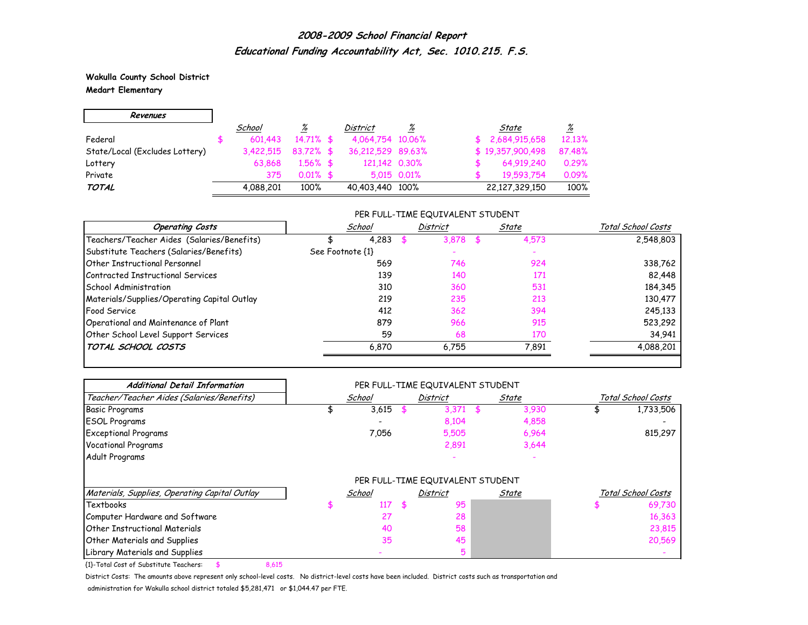**Wakulla County School District Medart Elementary**

| Revenues                       |           |              |                   |             |                  |                 |
|--------------------------------|-----------|--------------|-------------------|-------------|------------------|-----------------|
|                                | School    | <u>%</u>     | <b>District</b>   | %           | State            | $\frac{\%}{\%}$ |
| Federal                        | 601.443   | $14.71\%$ \$ | 4,064,754 10,06%  |             | \$2,684,915,658  | 12.13%          |
| State/Local (Excludes Lottery) | 3.422.515 | $83.72\%$ \$ | 36,212,529 89,63% |             | \$19,357,900,498 | 87.48%          |
| Lottery                        | 63.868    | $1.56\%$ \$  | 121.142 0.30%     |             | 64,919,240       | 0.29%           |
| Private                        | 375       | $0.01\%$ \$  |                   | 5,015 0,01% | 19,593,754       | 0.09%           |
| <b>TOTAL</b>                   | 4,088,201 | 100%         | 40,403,440 100%   |             | 22,127,329,150   | 100%            |

### PER FULL-TIME EQUIVALENT STUDENT

| <b>Operating Costs</b>                      | School           | <b>District</b> | State | Total School Costs |
|---------------------------------------------|------------------|-----------------|-------|--------------------|
| Teachers/Teacher Aides (Salaries/Benefits)  | 4,283            | 3,878           | 4,573 | 2,548,803          |
| Substitute Teachers (Salaries/Benefits)     | See Footnote {1} |                 |       |                    |
| <b>Other Instructional Personnel</b>        | 569              | 746             | 924   | 338,762            |
| Contracted Instructional Services           | 139              | 140             | 171   | 82,448             |
| School Administration                       | 310              | 360             | 531   | 184,345            |
| Materials/Supplies/Operating Capital Outlay | 219              | 235             | 213   | 130,477            |
| Food Service                                | 412              | 362             | 394   | 245,133            |
| Operational and Maintenance of Plant        | 879              | 966             | 915   | 523,292            |
| Other School Level Support Services         | 59               | 68              | 170   | 34,941             |
| TOTAL SCHOOL COSTS                          | 6,870            | 6.755           | 7,891 | 4,088,201          |

| <b>Additional Detail Information</b>          | PER FULL-TIME EQUIVALENT STUDENT |        |    |                                  |     |       |                    |                    |  |  |
|-----------------------------------------------|----------------------------------|--------|----|----------------------------------|-----|-------|--------------------|--------------------|--|--|
| Teacher/Teacher Aides (Salaries/Benefits)     |                                  | School |    | District                         |     | State | Total School Costs |                    |  |  |
| <b>Basic Programs</b>                         |                                  | 3,615  |    | 3,371                            | \$. | 3,930 |                    | 1,733,506          |  |  |
| <b>ESOL Programs</b>                          |                                  |        |    | 8,104                            |     | 4,858 |                    |                    |  |  |
| <b>Exceptional Programs</b>                   |                                  | 7,056  |    | 5,505                            |     | 6,964 |                    | 815,297            |  |  |
| <b>Vocational Programs</b>                    |                                  |        |    | 2,891                            |     | 3,644 |                    |                    |  |  |
| Adult Programs                                |                                  |        |    |                                  |     |       |                    |                    |  |  |
|                                               |                                  |        |    | PER FULL-TIME EQUIVALENT STUDENT |     |       |                    |                    |  |  |
| Materials, Supplies, Operating Capital Outlay |                                  | School |    | <b>District</b>                  |     | State |                    | Total School Costs |  |  |
| Textbooks                                     |                                  | 117    | Æ. | 95                               |     |       |                    | 69,730             |  |  |
| Computer Hardware and Software                |                                  | 27     |    | 28                               |     |       |                    | 16,363             |  |  |
| Other Instructional Materials                 |                                  | 40     |    | 58                               |     |       |                    | 23,815             |  |  |
| <b>Other Materials and Supplies</b>           |                                  | 35     |    | 45                               |     |       |                    | 20,569             |  |  |
| Library Materials and Supplies                |                                  |        |    | 5                                |     |       |                    |                    |  |  |

{1}-Total Cost of Substitute Teachers: \$ 8,615

District Costs: The amounts above represent only school-level costs. No district-level costs have been included. District costs such as transportation and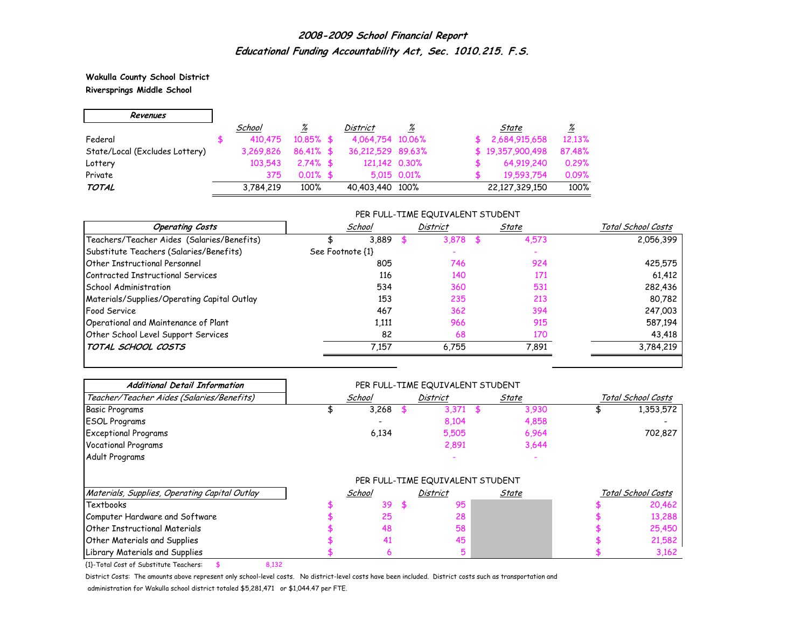**Wakulla County School District Riversprings Middle School**

 $\mathsf{r}$ 

 $\overline{\phantom{0}}$ 

| Revenues                       |           |              |                   |             |                  |          |
|--------------------------------|-----------|--------------|-------------------|-------------|------------------|----------|
|                                | School    | %            | <b>District</b>   | %           | State            | <u>%</u> |
| Federal                        | 410.475   | $10.85\%$ \$ | 4,064,754 10,06%  |             | 2,684,915,658    | 12.13%   |
| State/Local (Excludes Lottery) | 3.269.826 | $86.41\%$ \$ | 36,212,529 89,63% |             | \$19,357,900,498 | 87.48%   |
| Lottery                        | 103.543   | $2.74\%$ \$  | 121,142 0.30%     |             | 64,919,240       | 0.29%    |
| Private                        | 375       | $0.01\%$ \$  |                   | 5.015 0.01% | 19,593,754       | 0.09%    |
| <b>TOTAL</b>                   | 3,784,219 | 100%         | 40,403,440 100%   |             | 22,127,329,150   | 100%     |

### PER FULL-TIME EQUIVALENT STUDENT

| <b>Operating Costs</b>                      | School           | District | State | Total School Costs |
|---------------------------------------------|------------------|----------|-------|--------------------|
| Teachers/Teacher Aides (Salaries/Benefits)  | 3,889            | 3.878    | 4,573 | 2,056,399          |
| Substitute Teachers (Salaries/Benefits)     | See Footnote {1} |          |       |                    |
| Other Instructional Personnel               | 805              | 746      | 924   | 425,575            |
| Contracted Instructional Services           | 116              | 140      | 171   | 61,412             |
| School Administration                       | 534              | 360      | 531   | 282,436            |
| Materials/Supplies/Operating Capital Outlay | 153              | 235      | 213   | 80,782             |
| <b>Food Service</b>                         | 467              | 362      | 394   | 247,003            |
| Operational and Maintenance of Plant        | 1,111            | 966      | 915   | 587,194            |
| Other School Level Support Services         | 82               | 68       | 170   | 43,418             |
| TOTAL SCHOOL COSTS                          | 7.157            | 6.755    | 7,891 | 3,784,219          |

| <b>Additional Detail Information</b>          | PER FULL-TIME EQUIVALENT STUDENT |        |    |                                  |    |       |                    |                    |  |  |
|-----------------------------------------------|----------------------------------|--------|----|----------------------------------|----|-------|--------------------|--------------------|--|--|
| Teacher/Teacher Aides (Salaries/Benefits)     |                                  | School |    | <b>District</b>                  |    | State | Total School Costs |                    |  |  |
| <b>Basic Programs</b>                         |                                  | 3,268  |    | 3,371                            | \$ | 3,930 |                    | 1,353,572          |  |  |
| <b>ESOL Programs</b>                          |                                  |        |    | 8,104                            |    | 4,858 |                    |                    |  |  |
| <b>Exceptional Programs</b>                   |                                  | 6,134  |    | 5,505                            |    | 6,964 |                    | 702,827            |  |  |
| <b>Vocational Programs</b>                    |                                  |        |    | 2,891                            |    | 3,644 |                    |                    |  |  |
| Adult Programs                                |                                  |        |    |                                  |    |       |                    |                    |  |  |
|                                               |                                  |        |    | PER FULL-TIME EQUIVALENT STUDENT |    |       |                    |                    |  |  |
| Materials, Supplies, Operating Capital Outlay |                                  | School |    | District                         |    | State |                    | Total School Costs |  |  |
| Textbooks                                     |                                  | 39     | £. | 95                               |    |       |                    | 20,462             |  |  |
| Computer Hardware and Software                |                                  | 25     |    | 28                               |    |       |                    | 13,288             |  |  |
| Other Instructional Materials                 |                                  | 48     |    | 58                               |    |       |                    | 25,450             |  |  |
| Other Materials and Supplies                  |                                  | 41     |    | 45                               |    |       |                    | 21,582             |  |  |
| Library Materials and Supplies                |                                  | 6      |    | 5                                |    |       |                    | 3,162              |  |  |

{1}-Total Cost of Substitute Teachers: \$ 8,132

District Costs: The amounts above represent only school-level costs. No district-level costs have been included. District costs such as transportation and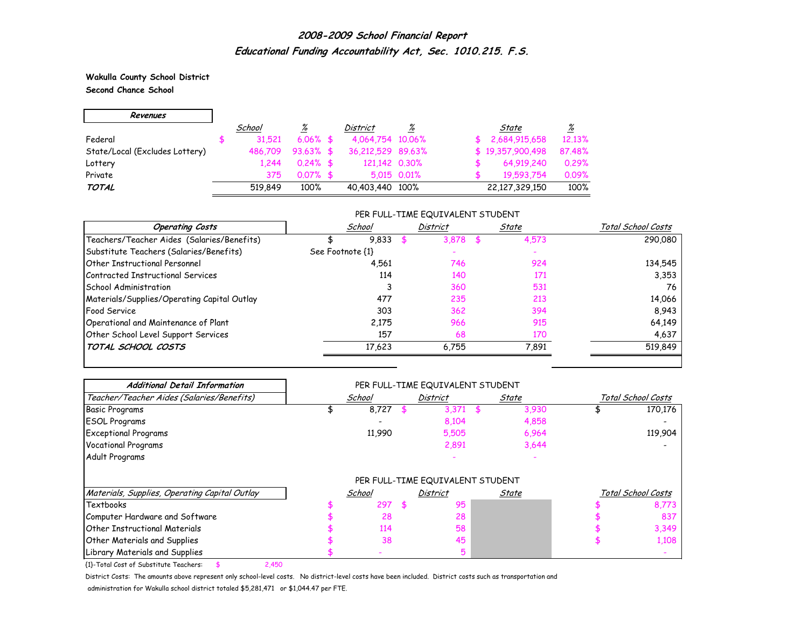**Wakulla County School District Second Chance School**

r.

| Revenues                       |         |              |                   |             |                  |                 |
|--------------------------------|---------|--------------|-------------------|-------------|------------------|-----------------|
|                                | School  | <u>%</u>     | <b>District</b>   | %           | State            | $\frac{\%}{\%}$ |
| Federal                        | 31.521  | $6.06\%$ \$  | 4,064,754 10,06%  |             | 2,684,915,658    | 12.13%          |
| State/Local (Excludes Lottery) | 486.709 | $93.63\%$ \$ | 36,212,529 89,63% |             | \$19,357,900,498 | 87.48%          |
| Lottery                        | 1.244   | $0.24\%$ \$  | 121,142 0.30%     |             | 64,919,240       | 0.29%           |
| Private                        | 375     | $0.07\%$ \$  |                   | 5.015 0.01% | 19.593.754       | 0.09%           |
| <b>TOTAL</b>                   | 519.849 | 100%         | 40,403,440 100%   |             | 22,127,329,150   | 100%            |

### PER FULL-TIME EQUIVALENT STUDENT

| <b>Operating Costs</b>                      |                  | School | <b>District</b> | State | Total School Costs |
|---------------------------------------------|------------------|--------|-----------------|-------|--------------------|
| Teachers/Teacher Aides (Salaries/Benefits)  |                  | 9,833  | 3,878           | 4,573 | 290,080            |
| Substitute Teachers (Salaries/Benefits)     | See Footnote {1} |        |                 |       |                    |
| Other Instructional Personnel               |                  | 4,561  | 746             | 924   | 134,545            |
| Contracted Instructional Services           |                  | 114    | 140             | 171   | 3,353              |
| <b>School Administration</b>                |                  |        | 360             | 531   | 76                 |
| Materials/Supplies/Operating Capital Outlay |                  | 477    | 235             | 213   | 14,066             |
| Food Service                                |                  | 303    | 362             | 394   | 8.943              |
| Operational and Maintenance of Plant        |                  | 2.175  | 966             | 915   | 64,149             |
| Other School Level Support Services         |                  | 157    | 68              | 170   | 4,637              |
| TOTAL SCHOOL COSTS                          |                  | 17,623 | 6,755           | 7,891 | 519,849            |

| <b>Additional Detail Information</b>          | PER FULL-TIME EQUIVALENT STUDENT |        |     |                                  |    |       |                    |                    |  |  |  |
|-----------------------------------------------|----------------------------------|--------|-----|----------------------------------|----|-------|--------------------|--------------------|--|--|--|
| Teacher/Teacher Aides (Salaries/Benefits)     |                                  | School |     | District                         |    | State | Total School Costs |                    |  |  |  |
| <b>Basic Programs</b>                         |                                  | 8,727  |     | 3,371                            | -S | 3,930 |                    | 170,176            |  |  |  |
| <b>ESOL Programs</b>                          |                                  |        |     | 8,104                            |    | 4,858 |                    |                    |  |  |  |
| <b>Exceptional Programs</b>                   |                                  | 11,990 |     | 5,505                            |    | 6,964 |                    | 119,904            |  |  |  |
| <b>Vocational Programs</b>                    |                                  |        |     | 2,891                            |    | 3,644 |                    |                    |  |  |  |
| Adult Programs                                |                                  |        |     |                                  |    |       |                    |                    |  |  |  |
|                                               |                                  |        |     | PER FULL-TIME EQUIVALENT STUDENT |    |       |                    |                    |  |  |  |
| Materials, Supplies, Operating Capital Outlay |                                  | School |     | District                         |    | State |                    | Total School Costs |  |  |  |
| Textbooks                                     |                                  | 297    | \$. | 95                               |    |       |                    | 8,773              |  |  |  |
| Computer Hardware and Software                |                                  | 28     |     | 28                               |    |       |                    | 837                |  |  |  |
| Other Instructional Materials                 |                                  | 114    |     | 58                               |    |       |                    | 3,349              |  |  |  |
| <b>Other Materials and Supplies</b>           |                                  | 38     |     | 45                               |    |       |                    | 1,108              |  |  |  |
| Library Materials and Supplies                |                                  |        |     |                                  |    |       |                    |                    |  |  |  |

{1}-Total Cost of Substitute Teachers: \$ 2,450

District Costs: The amounts above represent only school-level costs. No district-level costs have been included. District costs such as transportation and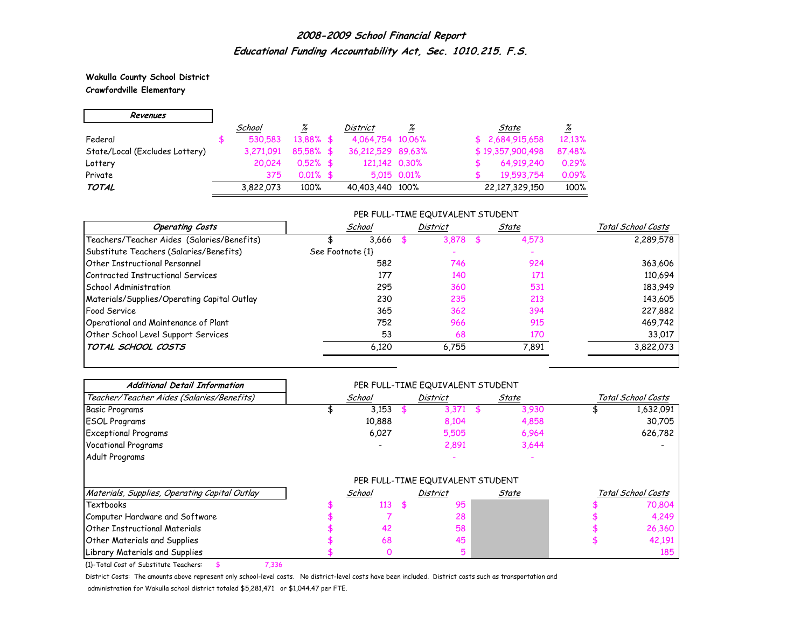### **Wakulla County School District Crawfordville Elementary**

r.

| Revenues                       |           |             |                   |                 |                  |                 |
|--------------------------------|-----------|-------------|-------------------|-----------------|------------------|-----------------|
|                                | School    | <u>%</u>    | <b>District</b>   | $\frac{\%}{\%}$ | State            | $\frac{\%}{\%}$ |
| Federal                        | 530.583   | 13,88% \$   | 4,064,754 10,06%  |                 | \$2,684,915,658  | 12.13%          |
| State/Local (Excludes Lottery) | 3.271.091 | 85.58% \$   | 36,212,529 89,63% |                 | \$19,357,900,498 | 87.48%          |
| Lottery                        | 20.024    | $0.52\%$ \$ | 121,142 0.30%     |                 | 64,919,240       | 0.29%           |
| Private                        | 375       | $0.01\%$ \$ |                   | 5,015 0,01%     | 19.593.754       | 0.09%           |
| TOTAL                          | 3,822,073 | 100%        | 40,403,440 100%   |                 | 22,127,329,150   | 100%            |

### PER FULL-TIME EQUIVALENT STUDENT

| <b>Operating Costs</b>                      |                  | School | District | State | Total School Costs |
|---------------------------------------------|------------------|--------|----------|-------|--------------------|
| Teachers/Teacher Aides (Salaries/Benefits)  |                  | 3,666  | 3,878    | 4,573 | 2,289,578          |
| Substitute Teachers (Salaries/Benefits)     | See Footnote {1} |        |          |       |                    |
| Other Instructional Personnel               |                  | 582    | 746      | 924   | 363,606            |
| Contracted Instructional Services           |                  | 177    | 140      | 171   | 110,694            |
| School Administration                       |                  | 295    | 360      | 531   | 183,949            |
| Materials/Supplies/Operating Capital Outlay |                  | 230    | 235      | 213   | 143,605            |
| <b>Food Service</b>                         |                  | 365    | 362      | 394   | 227,882            |
| Operational and Maintenance of Plant        |                  | 752    | 966      | 915   | 469,742            |
| Other School Level Support Services         |                  | 53     | 68       | 170   | 33,017             |
| TOTAL SCHOOL COSTS                          |                  | 6.120  | 6.755    | 7,891 | 3,822,073          |

| <b>Additional Detail Information</b>          | PER FULL-TIME EQUIVALENT STUDENT |        |    |                                  |                         |       |                    |                    |  |  |  |
|-----------------------------------------------|----------------------------------|--------|----|----------------------------------|-------------------------|-------|--------------------|--------------------|--|--|--|
| Teacher/Teacher Aides (Salaries/Benefits)     |                                  | School |    | <b>District</b>                  |                         | State | Total School Costs |                    |  |  |  |
| <b>Basic Programs</b>                         |                                  | 3,153  |    | 3,371                            | $\overline{\mathbf{5}}$ | 3,930 |                    | 1,632,091          |  |  |  |
| <b>ESOL Programs</b>                          |                                  | 10,888 |    | 8,104                            |                         | 4,858 |                    | 30,705             |  |  |  |
| <b>Exceptional Programs</b>                   |                                  | 6,027  |    | 5,505                            |                         | 6,964 |                    | 626,782            |  |  |  |
| <b>Vocational Programs</b>                    |                                  |        |    | 2,891                            |                         | 3,644 |                    |                    |  |  |  |
| Adult Programs                                |                                  |        |    |                                  |                         |       |                    |                    |  |  |  |
|                                               |                                  |        |    | PER FULL-TIME EQUIVALENT STUDENT |                         |       |                    |                    |  |  |  |
| Materials, Supplies, Operating Capital Outlay |                                  | School |    | <b>District</b>                  |                         | State |                    | Total School Costs |  |  |  |
| Textbooks                                     |                                  | 113    | \$ | 95                               |                         |       |                    | 70,804             |  |  |  |
| Computer Hardware and Software                |                                  |        |    | 28                               |                         |       |                    | 4,249              |  |  |  |
| Other Instructional Materials                 |                                  | 42     |    | 58                               |                         |       |                    | 26,360             |  |  |  |
| <b>Other Materials and Supplies</b>           |                                  | 68     |    | 45                               |                         |       |                    | 42,191             |  |  |  |
| Library Materials and Supplies                |                                  | 0      |    | 5                                |                         |       |                    | 185                |  |  |  |

{1}-Total Cost of Substitute Teachers: \$ 7,336

District Costs: The amounts above represent only school-level costs. No district-level costs have been included. District costs such as transportation and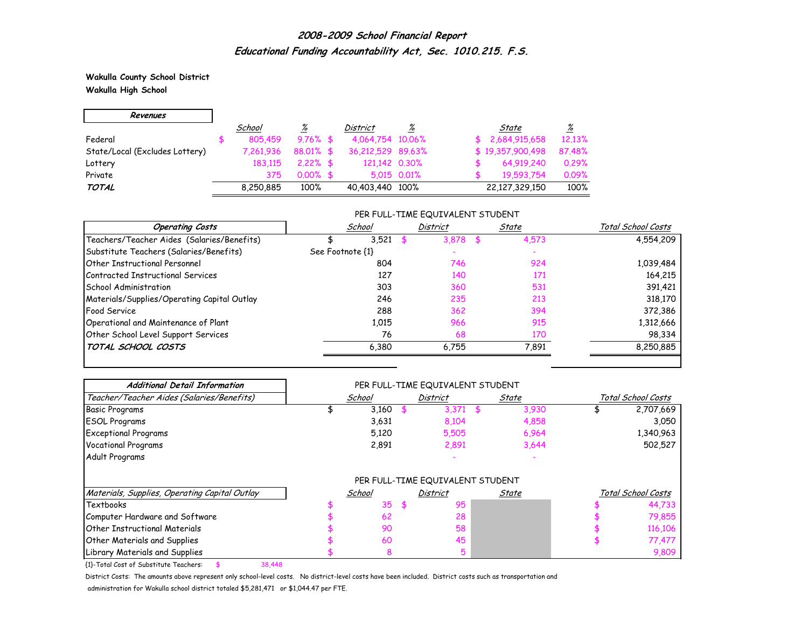**Wakulla County School District Wakulla High School**

H

| Revenues                       |           |                 |                   |             |                  |                 |
|--------------------------------|-----------|-----------------|-------------------|-------------|------------------|-----------------|
|                                | School    | $\frac{\%}{\%}$ | District          | %           | State            | $\frac{\%}{\%}$ |
| Federal                        | 805,459   | $9.76%$ \$      | 4,064,754 10,06%  |             | \$2,684,915,658  | 12.13%          |
| State/Local (Excludes Lottery) | 7.261.936 | 88.01% \$       | 36,212,529 89,63% |             | \$19,357,900,498 | 87.48%          |
| Lottery                        | 183,115   | $2.22\%$ \$     | 121,142 0.30%     |             | 64,919,240       | 0.29%           |
| Private                        | 375       | $0.00\%$ \$     |                   | 5.015 0.01% | 19,593,754       | 0.09%           |
| TOTAL                          | 8,250,885 | 100%            | 40,403,440 100%   |             | 22,127,329,150   | 100%            |

### PER FULL-TIME EQUIVALENT STUDENT

| <b>Operating Costs</b>                      | School           | <b>District</b> | State | Total School Costs |
|---------------------------------------------|------------------|-----------------|-------|--------------------|
| Teachers/Teacher Aides (Salaries/Benefits)  | 3,521            | 3.878           | 4,573 | 4,554,209          |
| Substitute Teachers (Salaries/Benefits)     | See Footnote {1} |                 |       |                    |
| Other Instructional Personnel               | 804              | 746             | 924   | 1,039,484          |
| Contracted Instructional Services           | 127              | 140             | 171   | 164,215            |
| School Administration                       | 303              | 360             | 531   | 391,421            |
| Materials/Supplies/Operating Capital Outlay | 246              | 235             | 213   | 318,170            |
| Food Service                                | 288              | 362             | 394   | 372,386            |
| Operational and Maintenance of Plant        | 1,015            | 966             | 915   | 1,312,666          |
| Other School Level Support Services         | 76               | 68              | 170   | 98,334             |
| TOTAL SCHOOL COSTS                          | 6,380            | 6.755           | 7,891 | 8,250,885          |

| <b>Additional Detail Information</b>          | PER FULL-TIME EQUIVALENT STUDENT |        |    |                                  |    |       |                    |                    |  |  |
|-----------------------------------------------|----------------------------------|--------|----|----------------------------------|----|-------|--------------------|--------------------|--|--|
| Teacher/Teacher Aides (Salaries/Benefits)     |                                  | School |    | District                         |    | State | Total School Costs |                    |  |  |
| <b>Basic Programs</b>                         |                                  | 3,160  |    | 3,371                            | \$ | 3,930 |                    | 2,707,669          |  |  |
| <b>ESOL Programs</b>                          |                                  | 3,631  |    | 8,104                            |    | 4,858 |                    | 3,050              |  |  |
| <b>Exceptional Programs</b>                   |                                  | 5,120  |    | 5,505                            |    | 6,964 |                    | 1,340,963          |  |  |
| <b>Vocational Programs</b>                    |                                  | 2,891  |    | 2,891                            |    | 3,644 |                    | 502,527            |  |  |
| Adult Programs                                |                                  |        |    |                                  |    |       |                    |                    |  |  |
|                                               |                                  |        |    | PER FULL-TIME EQUIVALENT STUDENT |    |       |                    |                    |  |  |
| Materials, Supplies, Operating Capital Outlay |                                  | School |    | District                         |    | State |                    | Total School Costs |  |  |
| Textbooks                                     |                                  | 35     | -S | 95                               |    |       |                    | 44,733             |  |  |
| Computer Hardware and Software                |                                  | 62     |    | 28                               |    |       |                    | 79,855             |  |  |
| <b>Other Instructional Materials</b>          |                                  | 90     |    | 58                               |    |       |                    | 116,106            |  |  |
| <b>Other Materials and Supplies</b>           |                                  | 60     |    | 45                               |    |       |                    | 77,477             |  |  |
| Library Materials and Supplies                |                                  | 8      |    | 5                                |    |       |                    | 9,809              |  |  |

{1}-Total Cost of Substitute Teachers: \$ 38,448

District Costs: The amounts above represent only school-level costs. No district-level costs have been included. District costs such as transportation and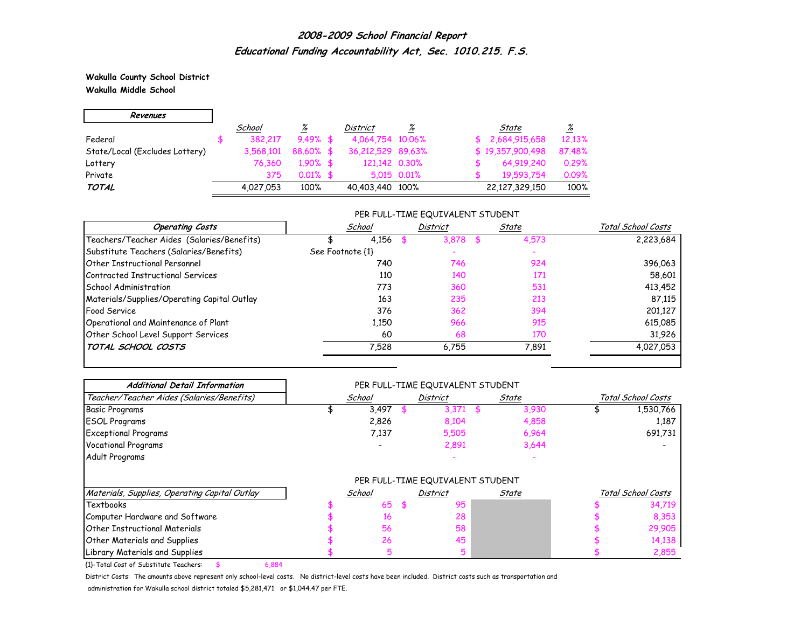**Wakulla County School District Wakulla Middle School**

r.

| Revenues                       |               |                 |                   |             |                  |                 |
|--------------------------------|---------------|-----------------|-------------------|-------------|------------------|-----------------|
|                                | <u>School</u> | $\frac{\%}{\%}$ | District          | %           | State            | $\frac{\%}{\%}$ |
| Federal                        | 382.217       | $9.49%$ \$      | 4,064,754 10,06%  |             | \$2,684,915,658  | 12.13%          |
| State/Local (Excludes Lottery) | 3.568.101     | 88.60% \$       | 36,212,529 89,63% |             | \$19,357,900,498 | 87.48%          |
| Lottery                        | 76.360        | $1.90\%$ \$     | 121,142 0.30%     |             | 64,919,240       | 0.29%           |
| Private                        | 375           | $0.01\%$ \$     |                   | 5.015 0.01% | 19,593,754       | 0.09%           |
| <b>TOTAL</b>                   | 4,027,053     | 100%            | 40,403,440 100%   |             | 22,127,329,150   | 100%            |

### PER FULL-TIME EQUIVALENT STUDENT

| <b>Operating Costs</b>                      | School           | <b>District</b> | State | Total School Costs |
|---------------------------------------------|------------------|-----------------|-------|--------------------|
| Teachers/Teacher Aides (Salaries/Benefits)  | 4,156            | 3.878           | 4,573 | 2,223,684          |
| Substitute Teachers (Salaries/Benefits)     | See Footnote {1} |                 |       |                    |
| Other Instructional Personnel               | 740              | 746             | 924   | 396,063            |
| Contracted Instructional Services           | 110              | 140             | 171   | 58,601             |
| <b>School Administration</b>                | 773              | 360             | 531   | 413,452            |
| Materials/Supplies/Operating Capital Outlay | 163              | 235             | 213   | 87.115             |
| <b>Food Service</b>                         | 376              | 362             | 394   | 201,127            |
| Operational and Maintenance of Plant        | 1,150            | 966             | 915   | 615,085            |
| Other School Level Support Services         | 60               | 68              | 170   | 31,926             |
| TOTAL SCHOOL COSTS                          | 7,528            | 6.755           | 7,891 | 4,027,053          |

| <b>Additional Detail Information</b>          |        | PER FULL-TIME EQUIVALENT STUDENT |             |                    |                    |
|-----------------------------------------------|--------|----------------------------------|-------------|--------------------|--------------------|
| Teacher/Teacher Aides (Salaries/Benefits)     | School | District                         | State       | Total School Costs |                    |
| <b>Basic Programs</b>                         | 3,497  | 3,371                            | \$<br>3,930 |                    | 1,530,766          |
| <b>ESOL Programs</b>                          | 2,826  | 8,104                            | 4,858       |                    | 1,187              |
| <b>Exceptional Programs</b>                   | 7,137  | 5,505                            | 6,964       |                    | 691,731            |
| <b>Vocational Programs</b>                    |        | 2,891                            | 3,644       |                    |                    |
| Adult Programs                                |        |                                  |             |                    |                    |
|                                               |        | PER FULL-TIME EQUIVALENT STUDENT |             |                    |                    |
| Materials, Supplies, Operating Capital Outlay | School | District                         | State       |                    | Total School Costs |
| Textbooks                                     | 65     | 95                               |             |                    | 34,719             |
| Computer Hardware and Software                | 16     | 28                               |             |                    | 8,353              |
| Other Instructional Materials                 | 56     | 58                               |             |                    | 29,905             |
| <b>Other Materials and Supplies</b>           | 26     | 45                               |             |                    | 14,138             |
| Library Materials and Supplies                | 5      | 5                                |             |                    | 2,855              |

{1}-Total Cost of Substitute Teachers: \$ 6,884

District Costs: The amounts above represent only school-level costs. No district-level costs have been included. District costs such as transportation and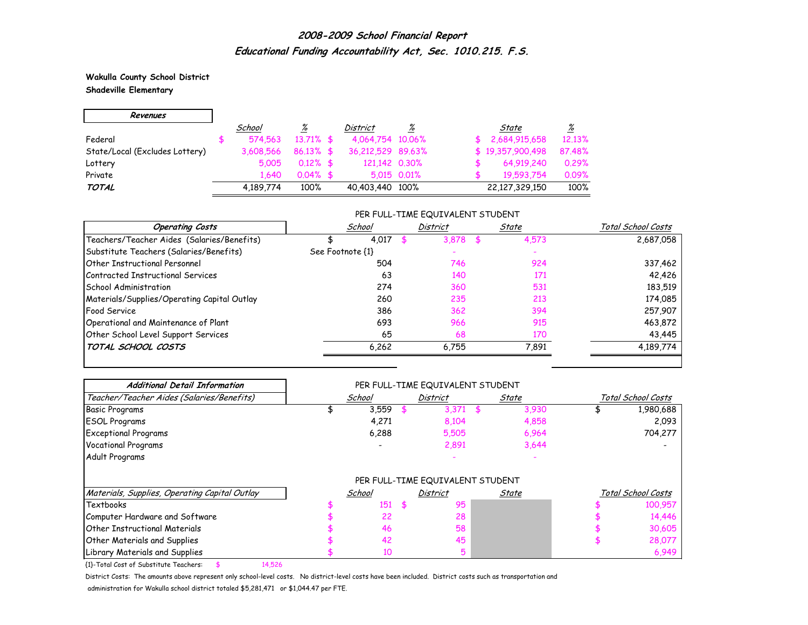**Wakulla County School District**

÷.

## **Shadeville Elementary**

 $\mathsf{r}$ 

| Revenues                       |           |              |                   |             |                  |                 |
|--------------------------------|-----------|--------------|-------------------|-------------|------------------|-----------------|
|                                | School    | <u>%</u>     | <b>District</b>   | %           | State            | $\frac{\%}{\%}$ |
| Federal                        | 574.563   | $13.71\%$ \$ | 4,064,754 10,06%  |             | 2,684,915,658    | 12.13%          |
| State/Local (Excludes Lottery) | 3,608,566 | $86.13\%$ \$ | 36,212,529 89,63% |             | \$19,357,900,498 | 87.48%          |
| Lottery                        | 5.005     | $0.12\%$ \$  | 121,142 0.30%     |             | 64,919,240       | 0.29%           |
| Private                        | 1.640     | $0.04\%$ \$  |                   | 5.015 0.01% | 19,593,754       | 0.09%           |
| <b>TOTAL</b>                   | 4,189,774 | 100%         | 40,403,440 100%   |             | 22,127,329,150   | 100%            |

### PER FULL-TIME EQUIVALENT STUDENT

| <b>Operating Costs</b>                      | School           | <b>District</b> |       | State | Total School Costs |
|---------------------------------------------|------------------|-----------------|-------|-------|--------------------|
| Teachers/Teacher Aides (Salaries/Benefits)  | 4,017            |                 | 3.878 | 4,573 | 2,687,058          |
| Substitute Teachers (Salaries/Benefits)     | See Footnote {1} |                 |       |       |                    |
| Other Instructional Personnel               | 504              |                 | 746   | 924   | 337,462            |
| Contracted Instructional Services           | 63               |                 | 140   | 171   | 42,426             |
| <b>School Administration</b>                | 274              |                 | 360   | 531   | 183,519            |
| Materials/Supplies/Operating Capital Outlay | 260              |                 | 235   | 213   | 174,085            |
| <b>Food Service</b>                         | 386              |                 | 362   | 394   | 257,907            |
| Operational and Maintenance of Plant        | 693              |                 | 966   | 915   | 463,872            |
| Other School Level Support Services         | 65               |                 | 68    | 170   | 43,445             |
| TOTAL SCHOOL COSTS                          | 6,262            |                 | 6.755 | 7,891 | 4,189,774          |

| <b>Additional Detail Information</b>          | PER FULL-TIME EQUIVALENT STUDENT |        |    |                                  |                          |       |                    |                    |  |  |  |
|-----------------------------------------------|----------------------------------|--------|----|----------------------------------|--------------------------|-------|--------------------|--------------------|--|--|--|
| Teacher/Teacher Aides (Salaries/Benefits)     |                                  | School |    | <b>District</b>                  |                          | State | Total School Costs |                    |  |  |  |
| <b>Basic Programs</b>                         |                                  | 3,559  |    | 3,371                            | $\overline{\phantom{a}}$ | 3,930 |                    | 1,980,688          |  |  |  |
| <b>ESOL Programs</b>                          |                                  | 4,271  |    | 8,104                            |                          | 4,858 |                    | 2,093              |  |  |  |
| <b>Exceptional Programs</b>                   |                                  | 6,288  |    | 5,505                            |                          | 6,964 |                    | 704,277            |  |  |  |
| <b>Vocational Programs</b>                    |                                  |        |    | 2,891                            |                          | 3,644 |                    |                    |  |  |  |
| Adult Programs                                |                                  |        |    |                                  |                          |       |                    |                    |  |  |  |
|                                               |                                  |        |    | PER FULL-TIME EQUIVALENT STUDENT |                          |       |                    |                    |  |  |  |
| Materials, Supplies, Operating Capital Outlay |                                  | School |    | <b>District</b>                  |                          | State |                    | Total School Costs |  |  |  |
| Textbooks                                     |                                  | 151    | \$ | 95                               |                          |       |                    | 100,957            |  |  |  |
| Computer Hardware and Software                |                                  | 22     |    | 28                               |                          |       |                    | 14,446             |  |  |  |
| Other Instructional Materials                 |                                  | 46     |    | 58                               |                          |       |                    | 30,605             |  |  |  |
| <b>Other Materials and Supplies</b>           |                                  | 42     |    | 45                               |                          |       |                    | 28,077             |  |  |  |
| Library Materials and Supplies                |                                  | 10     |    | 5                                |                          |       |                    | 6,949              |  |  |  |

{1}-Total Cost of Substitute Teachers: \$ 14,526

District Costs: The amounts above represent only school-level costs. No district-level costs have been included. District costs such as transportation and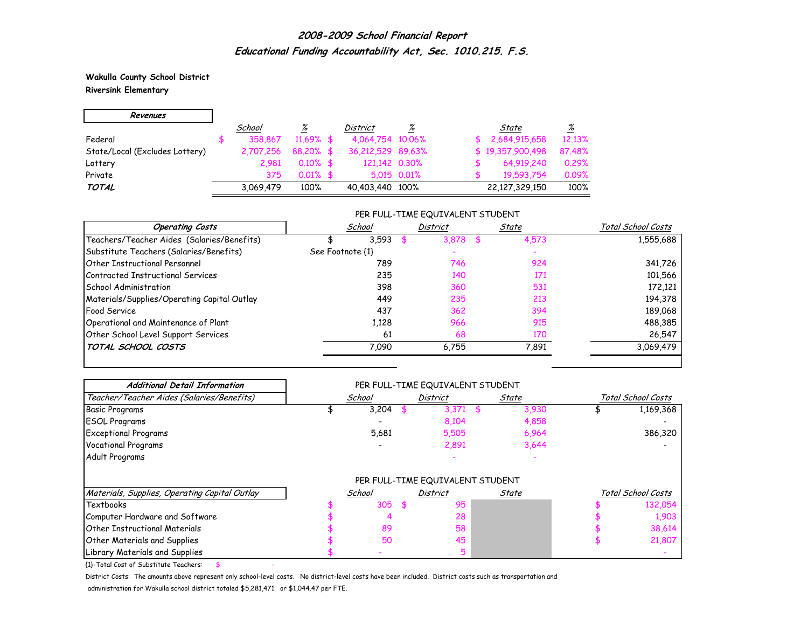**Wakulla County School District Riversink Elementary**

'n

| Revenues                       |           |              |                   |             |                  |                 |
|--------------------------------|-----------|--------------|-------------------|-------------|------------------|-----------------|
|                                | School    | <u>%</u>     | <i>District</i>   | %           | State            | $\frac{\%}{\%}$ |
| Federal                        | 358,867   | $11.69\%$ \$ | 4,064,754 10,06%  |             | 2,684,915,658    | 12.13%          |
| State/Local (Excludes Lottery) | 2.707.256 | 88.20% \$    | 36,212,529 89,63% |             | \$19,357,900,498 | 87.48%          |
| Lottery                        | 2.981     | $0.10\%$ \$  | 121,142 0.30%     |             | 64,919,240       | 0.29%           |
| Private                        | 375       | $0.01\%$ \$  |                   | 5.015 0.01% | 19.593.754       | 0.09%           |
| <b>TOTAL</b>                   | 3.069.479 | 100%         | 40,403,440 100%   |             | 22,127,329,150   | 100%            |

### PER FULL-TIME EQUIVALENT STUDENT

| <b>Operating Costs</b>                      | School           |    | <b>District</b> | State | Total School Costs |
|---------------------------------------------|------------------|----|-----------------|-------|--------------------|
| Teachers/Teacher Aides (Salaries/Benefits)  | 3.593            |    | 3,878           | 4,573 | 1,555,688          |
| Substitute Teachers (Salaries/Benefits)     | See Footnote {1} |    |                 |       |                    |
| <b>Other Instructional Personnel</b>        | 789              |    | 746             | 924   | 341,726            |
| Contracted Instructional Services           | 235              |    | 140             | 171   | 101,566            |
| School Administration                       | 398              |    | 360             | 531   | 172,121            |
| Materials/Supplies/Operating Capital Outlay | 449              |    | 235             | 213   | 194,378            |
| Food Service                                | 437              |    | 362             | 394   | 189,068            |
| Operational and Maintenance of Plant        | 1,128            |    | 966             | 915   | 488,385            |
| Other School Level Support Services         |                  | 61 | 68              | 170   | 26,547             |
| TOTAL SCHOOL COSTS                          | 7.090            |    | 6.755           | 7,891 | 3,069,479          |

| <b>Additional Detail Information</b>          | PER FULL-TIME EQUIVALENT STUDENT |        |    |                                  |     |       |                    |                    |  |  |  |
|-----------------------------------------------|----------------------------------|--------|----|----------------------------------|-----|-------|--------------------|--------------------|--|--|--|
| Teacher/Teacher Aides (Salaries/Benefits)     |                                  | School |    | District                         |     | State | Total School Costs |                    |  |  |  |
| <b>Basic Programs</b>                         |                                  | 3,204  |    | 3,371                            | \$. | 3,930 |                    | 1,169,368          |  |  |  |
| <b>ESOL Programs</b>                          |                                  |        |    | 8,104                            |     | 4,858 |                    |                    |  |  |  |
| <b>Exceptional Programs</b>                   |                                  | 5,681  |    | 5,505                            |     | 6,964 |                    | 386,320            |  |  |  |
| <b>Vocational Programs</b>                    |                                  |        |    | 2,891                            |     | 3,644 |                    |                    |  |  |  |
| Adult Programs                                |                                  |        |    |                                  |     |       |                    |                    |  |  |  |
|                                               |                                  |        |    | PER FULL-TIME EQUIVALENT STUDENT |     |       |                    |                    |  |  |  |
| Materials, Supplies, Operating Capital Outlay |                                  | School |    | <b>District</b>                  |     | State |                    | Total School Costs |  |  |  |
| Textbooks                                     |                                  | 305    | £. | 95                               |     |       |                    | 132,054            |  |  |  |
| Computer Hardware and Software                |                                  | 4      |    | 28                               |     |       |                    | 1,903              |  |  |  |
| Other Instructional Materials                 |                                  | 89     |    | 58                               |     |       |                    | 38,614             |  |  |  |
| <b>Other Materials and Supplies</b>           |                                  | 50     |    | 45                               |     |       |                    | 21,807             |  |  |  |
| Library Materials and Supplies                |                                  |        |    |                                  |     |       |                    |                    |  |  |  |

 ${1}$ -Total Cost of Substitute Teachers: \$

District Costs: The amounts above represent only school-level costs. No district-level costs have been included. District costs such as transportation and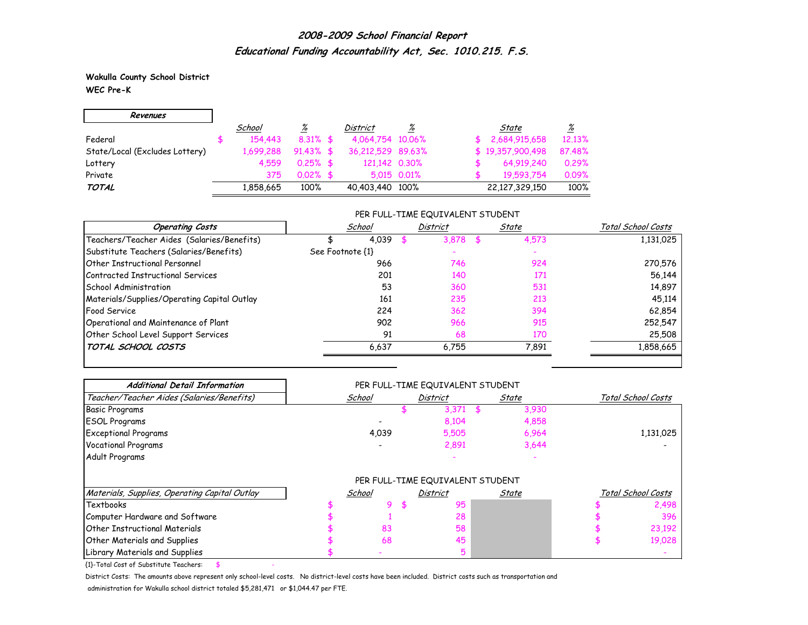**Wakulla County School District WEC Pre-K**

| Revenues                       |           |                 |                   |             |                  |                 |
|--------------------------------|-----------|-----------------|-------------------|-------------|------------------|-----------------|
|                                | School    | $\frac{\%}{\%}$ | <b>District</b>   | %           | State            | $\frac{\%}{\%}$ |
| Federal                        | 154,443   | $8.31\%$ \$     | 4,064,754 10,06%  |             | 2,684,915,658    | 12.13%          |
| State/Local (Excludes Lottery) | 1,699,288 | $91.43\%$ \$    | 36,212,529 89,63% |             | \$19,357,900,498 | 87.48%          |
| Lottery                        | 4.559     | $0.25%$ \$      | 121,142 0.30%     |             | 64,919,240       | 0.29%           |
| Private                        | 375       | $0.02\%$ \$     |                   | 5.015 0.01% | 19.593.754       | 0.09%           |
| <b>TOTAL</b>                   | 1,858,665 | 100%            | 40,403,440 100%   |             | 22,127,329,150   | 100%            |

### PER FULL-TIME EQUIVALENT STUDENT

| <b>Operating Costs</b>                      | School           | <b>District</b> | State | Total School Costs |
|---------------------------------------------|------------------|-----------------|-------|--------------------|
| Teachers/Teacher Aides (Salaries/Benefits)  | 4,039            | 3,878           | 4,573 | 1,131,025          |
| Substitute Teachers (Salaries/Benefits)     | See Footnote {1} |                 |       |                    |
| Other Instructional Personnel               | 966              | 746             | 924   | 270,576            |
| Contracted Instructional Services           | 201              | 140             | 171   | 56,144             |
| <b>School Administration</b>                | 53               | 360             | 531   | 14,897             |
| Materials/Supplies/Operating Capital Outlay | 161              | 235             | 213   | 45.114             |
| Food Service                                | 224              | 362             | 394   | 62,854             |
| Operational and Maintenance of Plant        | 902              | 966             | 915   | 252,547            |
| Other School Level Support Services         | 91               | 68              | 170   | 25,508             |
| TOTAL SCHOOL COSTS                          | 6,637            | 6.755           | 7.891 | 1,858,665          |

| <b>Additional Detail Information</b>          |        | PER FULL-TIME EQUIVALENT STUDENT |          |                                  |       |       |                    |                    |
|-----------------------------------------------|--------|----------------------------------|----------|----------------------------------|-------|-------|--------------------|--------------------|
| Teacher/Teacher Aides (Salaries/Benefits)     | School |                                  | District |                                  | State |       | Total School Costs |                    |
| <b>Basic Programs</b>                         |        |                                  |          | 3,371                            |       | 3,930 |                    |                    |
| <b>ESOL Programs</b>                          |        |                                  |          | 8,104                            |       | 4,858 |                    |                    |
| <b>Exceptional Programs</b>                   |        | 4,039                            |          | 5,505                            |       | 6,964 |                    | 1,131,025          |
| <b>Vocational Programs</b>                    |        |                                  |          | 2,891                            |       | 3,644 |                    |                    |
| Adult Programs                                |        |                                  |          |                                  |       |       |                    |                    |
|                                               |        |                                  |          | PER FULL-TIME EQUIVALENT STUDENT |       |       |                    |                    |
| Materials, Supplies, Operating Capital Outlay |        | School                           |          | District                         |       | State |                    | Total School Costs |
| Textbooks                                     |        | 9.                               |          | 95                               |       |       |                    | 2,498              |
| Computer Hardware and Software                |        |                                  |          | 28                               |       |       |                    | 396                |
| <b>Other Instructional Materials</b>          |        | 83                               |          | 58                               |       |       |                    | 23,192             |
| <b>Other Materials and Supplies</b>           |        | 68                               |          | 45                               |       |       |                    | 19,028             |
| Library Materials and Supplies                |        |                                  |          |                                  |       |       |                    |                    |

 ${1}$ -Total Cost of Substitute Teachers: \$

District Costs: The amounts above represent only school-level costs. No district-level costs have been included. District costs such as transportation and